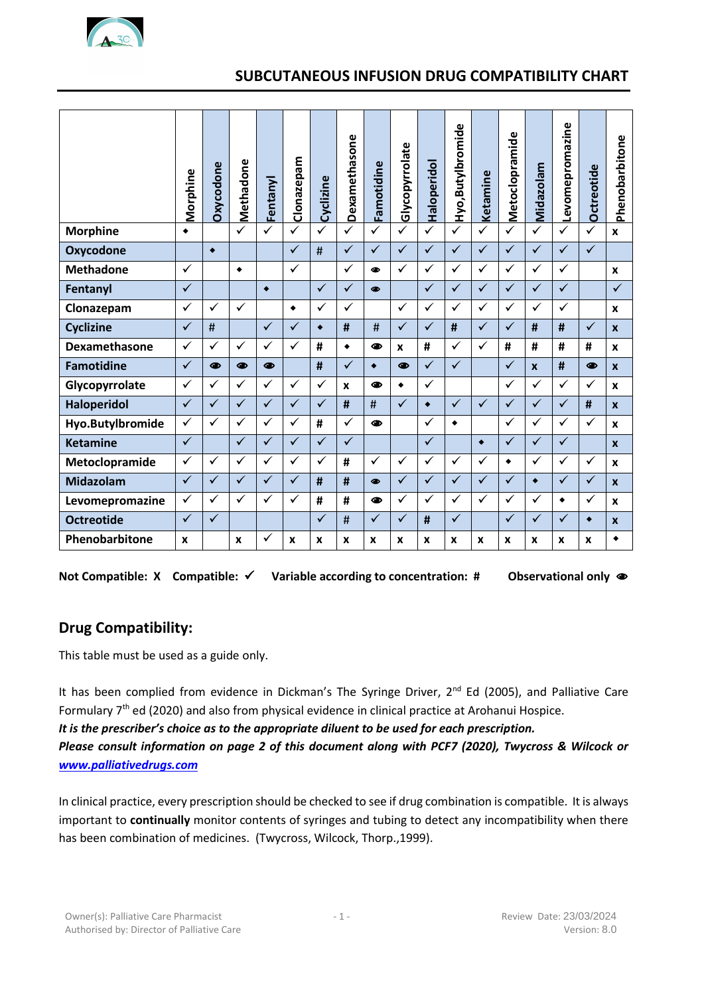# **SUBCUTANEOUS INFUSION DRUG COMPATIBILITY CHART**

|                                                                                                                                                                                                                                                                                                                                                                                                                                                                        | Morphine           | Oxycodone       | Methadone       |              | Clonazepam         | Cyclizine       | Dexamethasone | Famotidine      | Glycopyrrolate | Haloperidol     | Hyo, Butylbromide | Ketamine        | Metoclopramide | Midazolam        | Levomepromazine | <b>Octreotide</b> | Phenobarbitone   |
|------------------------------------------------------------------------------------------------------------------------------------------------------------------------------------------------------------------------------------------------------------------------------------------------------------------------------------------------------------------------------------------------------------------------------------------------------------------------|--------------------|-----------------|-----------------|--------------|--------------------|-----------------|---------------|-----------------|----------------|-----------------|-------------------|-----------------|----------------|------------------|-----------------|-------------------|------------------|
|                                                                                                                                                                                                                                                                                                                                                                                                                                                                        |                    |                 |                 | Fentanyl     |                    |                 |               |                 |                |                 |                   |                 |                |                  |                 |                   |                  |
| <b>Morphine</b>                                                                                                                                                                                                                                                                                                                                                                                                                                                        | $\bullet$          |                 |                 |              | ✓                  |                 |               |                 |                | $\checkmark$    | ✓                 |                 | ✓              | $\checkmark$     | ✓               |                   | X                |
| <b>Oxycodone</b>                                                                                                                                                                                                                                                                                                                                                                                                                                                       |                    | $\blacklozenge$ |                 |              | $\checkmark$       | $\#$            | $\checkmark$  | $\checkmark$    | $\checkmark$   | $\checkmark$    | $\checkmark$      | $\checkmark$    | $\checkmark$   | $\checkmark$     | $\checkmark$    | $\checkmark$      |                  |
| <b>Methadone</b>                                                                                                                                                                                                                                                                                                                                                                                                                                                       | ✓                  |                 | $\blacklozenge$ |              | $\checkmark$       |                 | $\checkmark$  | ⊕               | $\checkmark$   | $\checkmark$    | $\checkmark$      | $\checkmark$    | $\checkmark$   | $\checkmark$     | $\checkmark$    |                   | X                |
| Fentanyl                                                                                                                                                                                                                                                                                                                                                                                                                                                               | $\checkmark$       |                 |                 | $\bullet$    |                    | $\checkmark$    | $\checkmark$  | $\bullet$       |                | $\checkmark$    | $\checkmark$      | $\checkmark$    | $\checkmark$   | $\checkmark$     | $\checkmark$    |                   | $\checkmark$     |
| Clonazepam                                                                                                                                                                                                                                                                                                                                                                                                                                                             | $\checkmark$       | $\checkmark$    | $\checkmark$    |              | $\blacklozenge$    | $\checkmark$    | $\checkmark$  |                 | $\checkmark$   | $\checkmark$    | ✓                 | $\checkmark$    | $\checkmark$   | $\checkmark$     | $\checkmark$    |                   | X                |
| <b>Cyclizine</b>                                                                                                                                                                                                                                                                                                                                                                                                                                                       | $\checkmark$       | #               |                 | $\checkmark$ | ✓                  | $\blacklozenge$ | #             | #               | ✓              | $\checkmark$    | #                 | $\checkmark$    | ✓              | #                | #               | ✓                 | $\boldsymbol{x}$ |
| Dexamethasone                                                                                                                                                                                                                                                                                                                                                                                                                                                          | $\checkmark$       | $\checkmark$    | $\checkmark$    | $\checkmark$ | ✓                  | #               | $\bullet$     | ⊕               | X              | #               | $\checkmark$      | ✓               | #              | #                | #               | #                 | X                |
| <b>Famotidine</b>                                                                                                                                                                                                                                                                                                                                                                                                                                                      | $\checkmark$       | $\bullet$       | ●               | ●            |                    | #               | $\checkmark$  | $\blacklozenge$ | ●              | $\checkmark$    | $\checkmark$      |                 | $\checkmark$   | $\boldsymbol{x}$ | #               | ●                 | $\boldsymbol{x}$ |
| Glycopyrrolate                                                                                                                                                                                                                                                                                                                                                                                                                                                         | ✓                  | $\checkmark$    | $\checkmark$    | $\checkmark$ | ✓                  | $\checkmark$    | X             | ◍               | $\bullet$      | $\checkmark$    |                   |                 | $\checkmark$   | $\checkmark$     | $\checkmark$    | ✓                 | x                |
| <b>Haloperidol</b>                                                                                                                                                                                                                                                                                                                                                                                                                                                     | $\checkmark$       | $\checkmark$    | $\checkmark$    | $\checkmark$ | $\checkmark$       | $\checkmark$    | #             | #               | $\checkmark$   | $\blacklozenge$ | $\checkmark$      | $\checkmark$    | $\checkmark$   | $\checkmark$     | $\checkmark$    | #                 | $\boldsymbol{x}$ |
| Hyo.Butylbromide                                                                                                                                                                                                                                                                                                                                                                                                                                                       | ✓                  | $\checkmark$    | ✓               | ✓            | $\checkmark$       | #               | ✓             | ◉               |                | $\checkmark$    | $\bullet$         |                 | $\checkmark$   | $\checkmark$     | ✓               | ✓                 | X                |
| <b>Ketamine</b>                                                                                                                                                                                                                                                                                                                                                                                                                                                        | $\checkmark$       |                 | $\checkmark$    | ✓            | ✓                  | $\checkmark$    | $\checkmark$  |                 |                | $\checkmark$    |                   | $\blacklozenge$ | ✓              | $\checkmark$     | ✓               |                   | $\mathbf{x}$     |
| Metoclopramide                                                                                                                                                                                                                                                                                                                                                                                                                                                         | $\checkmark$       | $\checkmark$    | $\checkmark$    | $\checkmark$ | ✓                  | $\checkmark$    | #             | $\checkmark$    | ✓              | $\checkmark$    | $\checkmark$      | $\checkmark$    | ٠              | $\checkmark$     | $\checkmark$    | $\checkmark$      | X                |
| Midazolam                                                                                                                                                                                                                                                                                                                                                                                                                                                              | $\checkmark$       | $\checkmark$    | $\checkmark$    | ✓            | $\checkmark$       | #               | #             | $\bullet$       | $\checkmark$   | $\checkmark$    | $\checkmark$      | $\checkmark$    | ✓              | $\bullet$        | $\checkmark$    | $\checkmark$      | $\boldsymbol{x}$ |
| Levomepromazine                                                                                                                                                                                                                                                                                                                                                                                                                                                        | $\checkmark$       | $\checkmark$    | $\checkmark$    | $\checkmark$ | $\checkmark$       | #               | #             | ●               | $\checkmark$   | $\checkmark$    | $\checkmark$      | $\checkmark$    | $\checkmark$   | $\checkmark$     | $\blacklozenge$ | $\checkmark$      | X                |
| <b>Octreotide</b>                                                                                                                                                                                                                                                                                                                                                                                                                                                      | $\checkmark$       | $\checkmark$    |                 |              |                    | $\checkmark$    | $\#$          | $\checkmark$    | $\checkmark$   | #               | $\checkmark$      |                 | $\checkmark$   | $\checkmark$     | $\checkmark$    | ٠                 | $\boldsymbol{x}$ |
| Phenobarbitone                                                                                                                                                                                                                                                                                                                                                                                                                                                         | $\pmb{\mathsf{x}}$ |                 | X               | ✓            | $\pmb{\mathsf{x}}$ | x               | X             | x               | X              | X               | X                 | x               | X              | X                | X               | X                 | $\blacklozenge$  |
| Compatible: $\checkmark$<br>Observational only $\bullet$<br><b>Not Compatible: X</b><br>Variable according to concentration: #<br><b>Drug Compatibility:</b><br>This table must be used as a guide only.                                                                                                                                                                                                                                                               |                    |                 |                 |              |                    |                 |               |                 |                |                 |                   |                 |                |                  |                 |                   |                  |
| It has been complied from evidence in Dickman's The Syringe Driver, 2 <sup>nd</sup> Ed (2005), and Palliative Care<br>Formulary 7 <sup>th</sup> ed (2020) and also from physical evidence in clinical practice at Arohanui Hospice.<br>It is the prescriber's choice as to the appropriate diluent to be used for each prescription.<br>Please consult information on page 2 of this document along with PCF7 (2020), Twycross & Wilcock or<br>www.palliativedrugs.com |                    |                 |                 |              |                    |                 |               |                 |                |                 |                   |                 |                |                  |                 |                   |                  |
| In clinical practice, every prescription should be checked to see if drug combination is compatible. It is always<br>important to continually monitor contents of syringes and tubing to detect any incompatibility when there<br>has been combination of medicines. (Twycross, Wilcock, Thorp., 1999).                                                                                                                                                                |                    |                 |                 |              |                    |                 |               |                 |                |                 |                   |                 |                |                  |                 |                   |                  |

# **Drug Compatibility:**